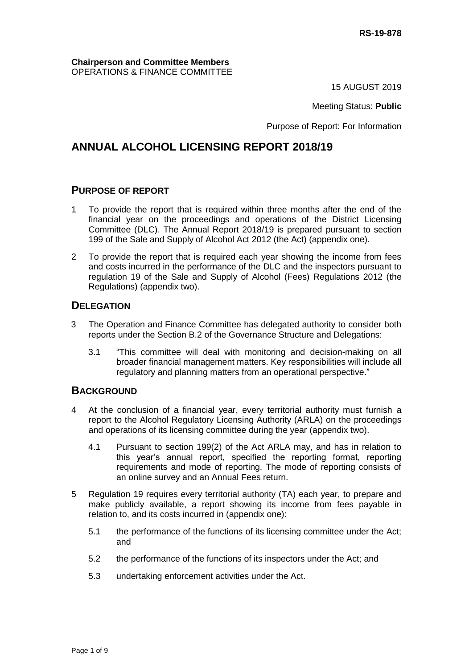#### **Chairperson and Committee Members** OPERATIONS & FINANCE COMMITTEE

15 AUGUST 2019

#### Meeting Status: **Public**

Purpose of Report: For Information

### **ANNUAL ALCOHOL LICENSING REPORT 2018/19**

### **PURPOSE OF REPORT**

- 1 To provide the report that is required within three months after the end of the financial year on the proceedings and operations of the District Licensing Committee (DLC). The Annual Report 2018/19 is prepared pursuant to section 199 of the Sale and Supply of Alcohol Act 2012 (the Act) (appendix one).
- 2 To provide the report that is required each year showing the income from fees and costs incurred in the performance of the DLC and the inspectors pursuant to regulation 19 of the Sale and Supply of Alcohol (Fees) Regulations 2012 (the Regulations) (appendix two).

### **DELEGATION**

- 3 The Operation and Finance Committee has delegated authority to consider both reports under the Section B.2 of the Governance Structure and Delegations:
	- 3.1 "This committee will deal with monitoring and decision-making on all broader financial management matters. Key responsibilities will include all regulatory and planning matters from an operational perspective."

### **BACKGROUND**

- 4 At the conclusion of a financial year, every territorial authority must furnish a report to the Alcohol Regulatory Licensing Authority (ARLA) on the proceedings and operations of its licensing committee during the year (appendix two).
	- 4.1 Pursuant to section 199(2) of the Act ARLA may, and has in relation to this year's annual report, specified the reporting format, reporting requirements and mode of reporting. The mode of reporting consists of an online survey and an Annual Fees return.
- 5 Regulation 19 requires every territorial authority (TA) each year, to prepare and make publicly available, a report showing its income from fees payable in relation to, and its costs incurred in (appendix one):
	- 5.1 the performance of the functions of its licensing committee under the Act; and
	- 5.2 the performance of the functions of its inspectors under the Act; and
	- 5.3 undertaking enforcement activities under the Act.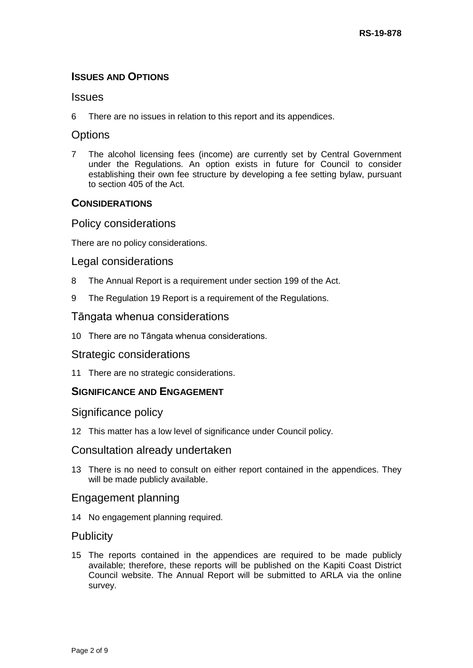### **ISSUES AND OPTIONS**

### **Issues**

6 There are no issues in relation to this report and its appendices.

### **Options**

7 The alcohol licensing fees (income) are currently set by Central Government under the Regulations. An option exists in future for Council to consider establishing their own fee structure by developing a fee setting bylaw, pursuant to section 405 of the Act.

### **CONSIDERATIONS**

### Policy considerations

There are no policy considerations.

### Legal considerations

- 8 The Annual Report is a requirement under section 199 of the Act.
- 9 The Regulation 19 Report is a requirement of the Regulations.

### Tāngata whenua considerations

10 There are no Tāngata whenua considerations.

### Strategic considerations

11 There are no strategic considerations.

### **SIGNIFICANCE AND ENGAGEMENT**

### Significance policy

12 This matter has a low level of significance under Council policy.

### Consultation already undertaken

13 There is no need to consult on either report contained in the appendices. They will be made publicly available.

### Engagement planning

14 No engagement planning required.

### **Publicity**

15 The reports contained in the appendices are required to be made publicly available; therefore, these reports will be published on the Kapiti Coast District Council website. The Annual Report will be submitted to ARLA via the online survey.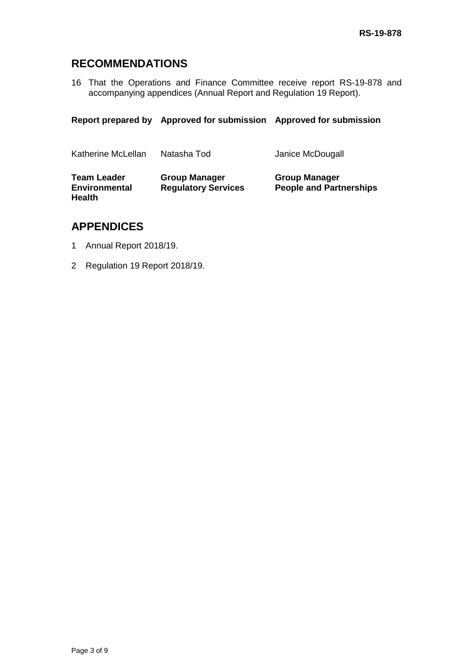### **RECOMMENDATIONS**

16 That the Operations and Finance Committee receive report RS-19-878 and accompanying appendices (Annual Report and Regulation 19 Report).

**Report prepared by Approved for submission Approved for submission**

| Katherine McLellan                                          | Natasha Tod                                        | Janice McDougall                                       |
|-------------------------------------------------------------|----------------------------------------------------|--------------------------------------------------------|
| <b>Team Leader</b><br><b>Environmental</b><br><b>Health</b> | <b>Group Manager</b><br><b>Regulatory Services</b> | <b>Group Manager</b><br><b>People and Partnerships</b> |

### **APPENDICES**

- 1 Annual Report 2018/19.
- 2 Regulation 19 Report 2018/19.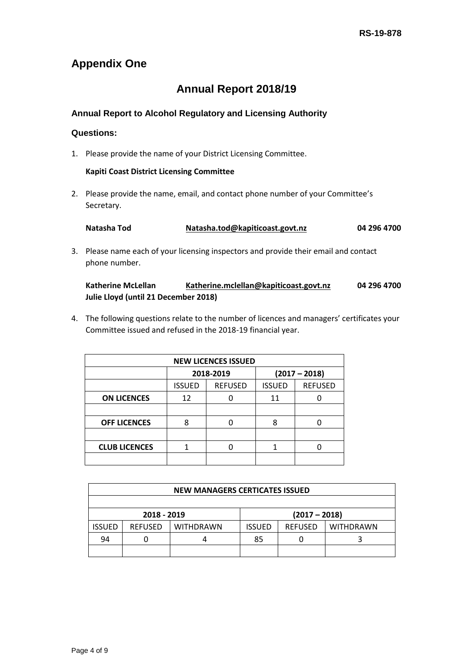## **Appendix One**

# **Annual Report 2018/19**

### **Annual Report to Alcohol Regulatory and Licensing Authority**

### **Questions:**

1. Please provide the name of your District Licensing Committee.

#### **Kapiti Coast District Licensing Committee**

2. Please provide the name, email, and contact phone number of your Committee's Secretary.

| Natasha Tod | Natasha.tod@kapiticoast.govt.nz | 04 296 4700 |
|-------------|---------------------------------|-------------|
|-------------|---------------------------------|-------------|

3. Please name each of your licensing inspectors and provide their email and contact phone number.

| <b>Katherine McLellan</b>            | Katherine.mclellan@kapiticoast.govt.nz | 04 296 4700 |
|--------------------------------------|----------------------------------------|-------------|
| Julie Lloyd (until 21 December 2018) |                                        |             |

4. The following questions relate to the number of licences and managers' certificates your Committee issued and refused in the 2018-19 financial year.

| <b>NEW LICENCES ISSUED</b> |               |                |                 |                |  |  |
|----------------------------|---------------|----------------|-----------------|----------------|--|--|
|                            |               | 2018-2019      | $(2017 - 2018)$ |                |  |  |
|                            | <b>ISSUED</b> | <b>REFUSED</b> | <b>ISSUED</b>   | <b>REFUSED</b> |  |  |
| <b>ON LICENCES</b>         | 12            |                | 11              |                |  |  |
|                            |               |                |                 |                |  |  |
| <b>OFF LICENCES</b>        | 8             |                | 8               |                |  |  |
|                            |               |                |                 |                |  |  |
| <b>CLUB LICENCES</b>       |               |                |                 |                |  |  |
|                            |               |                |                 |                |  |  |

| <b>NEW MANAGERS CERTICATES ISSUED</b> |                |                  |                                                     |                 |  |  |  |
|---------------------------------------|----------------|------------------|-----------------------------------------------------|-----------------|--|--|--|
|                                       |                |                  |                                                     |                 |  |  |  |
|                                       | 2018 - 2019    |                  |                                                     | $(2017 - 2018)$ |  |  |  |
| <b>ISSUED</b>                         | <b>REFUSED</b> | <b>WITHDRAWN</b> | <b>REFUSED</b><br><b>WITHDRAWN</b><br><b>ISSUED</b> |                 |  |  |  |
| 94                                    |                |                  | 85                                                  |                 |  |  |  |
|                                       |                |                  |                                                     |                 |  |  |  |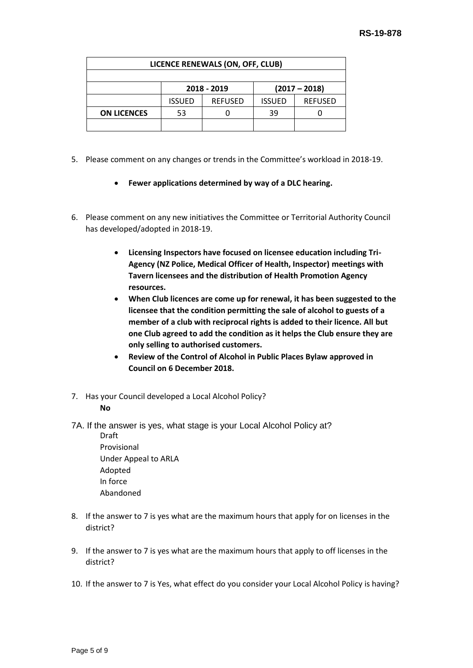| LICENCE RENEWALS (ON, OFF, CLUB) |               |                |               |                 |  |  |
|----------------------------------|---------------|----------------|---------------|-----------------|--|--|
|                                  |               |                |               |                 |  |  |
|                                  |               | 2018 - 2019    |               | $(2017 - 2018)$ |  |  |
|                                  | <b>ISSUED</b> | <b>REFUSED</b> | <b>ISSUED</b> | <b>REFUSED</b>  |  |  |
| <b>ON LICENCES</b>               | 53            |                | 39            |                 |  |  |
|                                  |               |                |               |                 |  |  |

- 5. Please comment on any changes or trends in the Committee's workload in 2018-19.
	- **Fewer applications determined by way of a DLC hearing.**
- 6. Please comment on any new initiatives the Committee or Territorial Authority Council has developed/adopted in 2018-19.
	- **Licensing Inspectors have focused on licensee education including Tri-Agency (NZ Police, Medical Officer of Health, Inspector) meetings with Tavern licensees and the distribution of Health Promotion Agency resources.**
	- **When Club licences are come up for renewal, it has been suggested to the licensee that the condition permitting the sale of alcohol to guests of a member of a club with reciprocal rights is added to their licence. All but one Club agreed to add the condition as it helps the Club ensure they are only selling to authorised customers.**
	- **Review of the Control of Alcohol in Public Places Bylaw approved in Council on 6 December 2018.**
- 7. Has your Council developed a Local Alcohol Policy?

#### **No**

- 7A. If the answer is yes, what stage is your Local Alcohol Policy at?
	- Draft Provisional Under Appeal to ARLA Adopted In force Abandoned
- 8. If the answer to 7 is yes what are the maximum hours that apply for on licenses in the district?
- 9. If the answer to 7 is yes what are the maximum hours that apply to off licenses in the district?
- 10. If the answer to 7 is Yes, what effect do you consider your Local Alcohol Policy is having?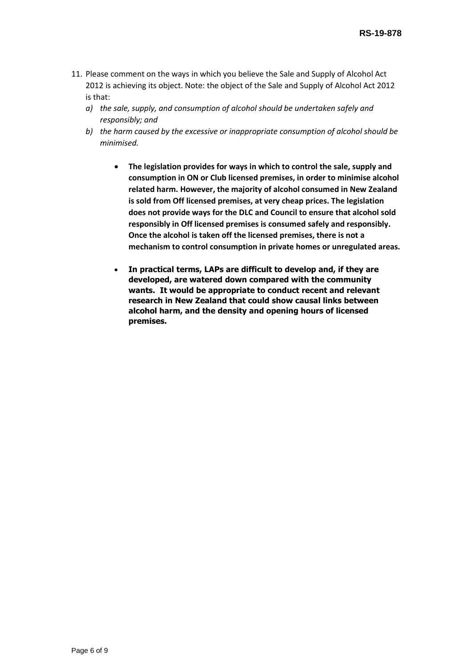- 11. Please comment on the ways in which you believe the Sale and Supply of Alcohol Act 2012 is achieving its object. Note: the object of the Sale and Supply of Alcohol Act 2012 is that:
	- *a) the sale, supply, and consumption of alcohol should be undertaken safely and responsibly; and*
	- *b) the harm caused by the excessive or inappropriate consumption of alcohol should be minimised.* 
		- **The legislation provides for ways in which to control the sale, supply and consumption in ON or Club licensed premises, in order to minimise alcohol related harm. However, the majority of alcohol consumed in New Zealand is sold from Off licensed premises, at very cheap prices. The legislation does not provide ways for the DLC and Council to ensure that alcohol sold responsibly in Off licensed premises is consumed safely and responsibly. Once the alcohol is taken off the licensed premises, there is not a mechanism to control consumption in private homes or unregulated areas.**
		- **In practical terms, LAPs are difficult to develop and, if they are developed, are watered down compared with the community wants. It would be appropriate to conduct recent and relevant research in New Zealand that could show causal links between alcohol harm, and the density and opening hours of licensed premises.**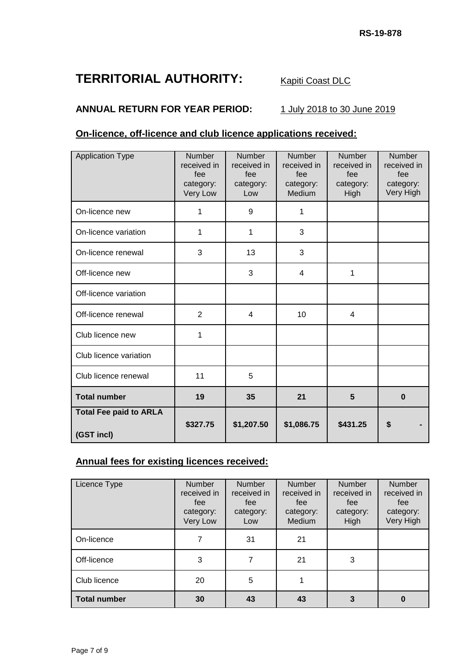# **TERRITORIAL AUTHORITY:** Kapiti Coast DLC

### **ANNUAL RETURN FOR YEAR PERIOD:** 1 July 2018 to 30 June 2019

### **On-licence, off-licence and club licence applications received:**

| <b>Application Type</b>                     | Number<br>received in<br>fee<br>category:<br>Very Low | Number<br>received in<br>fee<br>category:<br>Low | Number<br>received in<br>fee<br>category:<br>Medium | Number<br>received in<br>fee<br>category:<br>High | Number<br>received in<br>fee<br>category:<br>Very High |
|---------------------------------------------|-------------------------------------------------------|--------------------------------------------------|-----------------------------------------------------|---------------------------------------------------|--------------------------------------------------------|
| On-licence new                              | 1                                                     | 9                                                | 1                                                   |                                                   |                                                        |
| On-licence variation                        | 1                                                     | 1                                                | 3                                                   |                                                   |                                                        |
| On-licence renewal                          | 3                                                     | 13                                               | 3                                                   |                                                   |                                                        |
| Off-licence new                             |                                                       | 3                                                | 4                                                   | 1                                                 |                                                        |
| Off-licence variation                       |                                                       |                                                  |                                                     |                                                   |                                                        |
| Off-licence renewal                         | 2                                                     | $\overline{4}$                                   | 10                                                  | $\overline{4}$                                    |                                                        |
| Club licence new                            | 1                                                     |                                                  |                                                     |                                                   |                                                        |
| Club licence variation                      |                                                       |                                                  |                                                     |                                                   |                                                        |
| Club licence renewal                        | 11                                                    | 5                                                |                                                     |                                                   |                                                        |
| <b>Total number</b>                         | 19                                                    | 35                                               | 21                                                  | 5                                                 | $\bf{0}$                                               |
| <b>Total Fee paid to ARLA</b><br>(GST incl) | \$327.75                                              | \$1,207.50                                       | \$1,086.75                                          | \$431.25                                          | S                                                      |

### **Annual fees for existing licences received:**

| Licence Type        | <b>Number</b><br>received in<br>fee<br>category:<br>Very Low | <b>Number</b><br>received in<br>fee<br>category:<br>Low | <b>Number</b><br>received in<br>fee<br>category:<br>Medium | <b>Number</b><br>received in<br>fee<br>category:<br>High | Number<br>received in<br>fee<br>category:<br>Very High |
|---------------------|--------------------------------------------------------------|---------------------------------------------------------|------------------------------------------------------------|----------------------------------------------------------|--------------------------------------------------------|
| On-licence          | 7                                                            | 31                                                      | 21                                                         |                                                          |                                                        |
| Off-licence         | 3                                                            |                                                         | 21                                                         | 3                                                        |                                                        |
| Club licence        | 20                                                           | 5                                                       |                                                            |                                                          |                                                        |
| <b>Total number</b> | 30                                                           | 43                                                      | 43                                                         | 3                                                        |                                                        |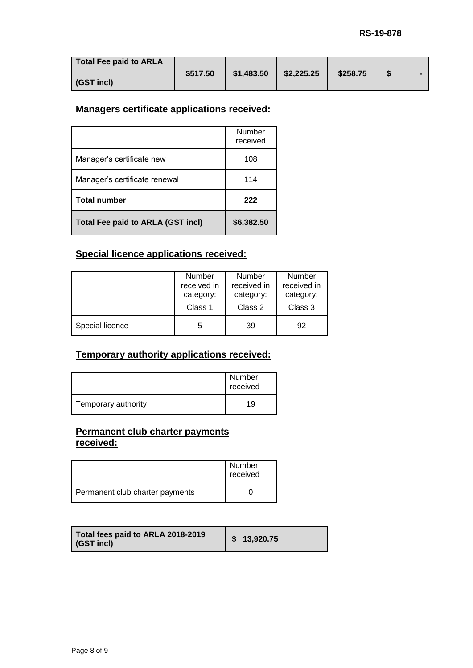| Total Fee paid to ARLA |          |            |            |          |   |  |
|------------------------|----------|------------|------------|----------|---|--|
|                        | \$517.50 | \$1,483.50 | \$2,225.25 | \$258.75 | S |  |
| (GST incl)             |          |            |            |          |   |  |

### **Managers certificate applications received:**

|                                   | Number<br>received |
|-----------------------------------|--------------------|
| Manager's certificate new         | 108                |
| Manager's certificate renewal     | 114                |
| <b>Total number</b>               | 222                |
| Total Fee paid to ARLA (GST incl) | \$6,382.50         |

### **Special licence applications received:**

|                 | <b>Number</b> | <b>Number</b> | <b>Number</b> |
|-----------------|---------------|---------------|---------------|
|                 | received in   | received in   | received in   |
|                 | category:     | category:     | category:     |
|                 | Class 1       | Class 2       | Class 3       |
| Special licence | 5             | 39            | 92            |

### **Temporary authority applications received:**

|                     | Number<br>received |
|---------------------|--------------------|
| Temporary authority | 19                 |

### **Permanent club charter payments received:**

|                                 | Number<br>received |
|---------------------------------|--------------------|
| Permanent club charter payments |                    |